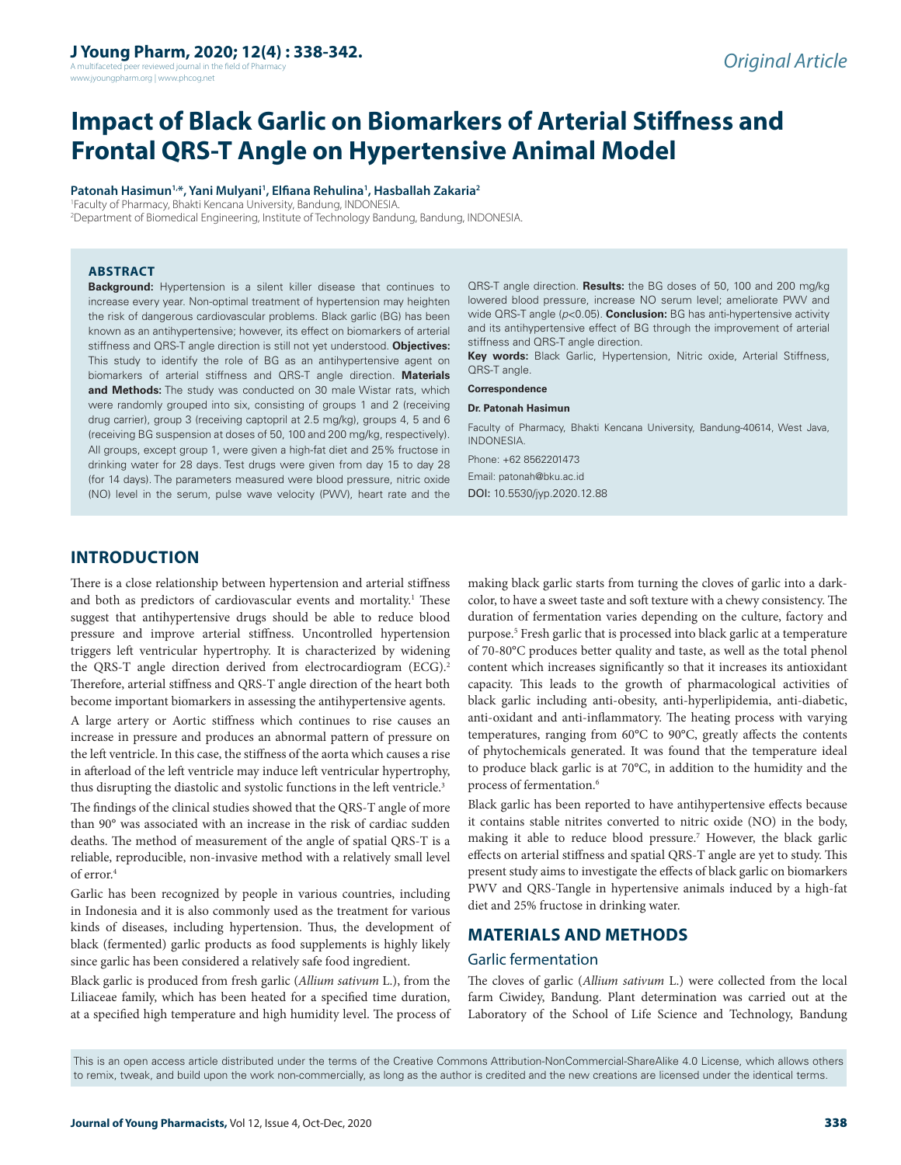A multifaceted peer reviewed journal in the field of Pharm www.jyoungpharm.org | www.phcog.net

# **Impact of Black Garlic on Biomarkers of Arterial Stiffness and Frontal QRS-T Angle on Hypertensive Animal Model**

**Patonah Hasimun1,\*, Yani Mulyani1 , Elfiana Rehulina1 , Hasballah Zakaria2**

1 Faculty of Pharmacy, Bhakti Kencana University, Bandung, INDONESIA. 2 Department of Biomedical Engineering, Institute of Technology Bandung, Bandung, INDONESIA.

#### **ABSTRACT**

**Background:** Hypertension is a silent killer disease that continues to increase every year. Non-optimal treatment of hypertension may heighten the risk of dangerous cardiovascular problems. Black garlic (BG) has been known as an antihypertensive; however, its effect on biomarkers of arterial stiffness and QRS-T angle direction is still not yet understood. **Objectives:**  This study to identify the role of BG as an antihypertensive agent on biomarkers of arterial stiffness and QRS-T angle direction. **Materials and Methods:** The study was conducted on 30 male Wistar rats, which were randomly grouped into six, consisting of groups 1 and 2 (receiving drug carrier), group 3 (receiving captopril at 2.5 mg/kg), groups 4, 5 and 6 (receiving BG suspension at doses of 50, 100 and 200 mg/kg, respectively). All groups, except group 1, were given a high-fat diet and 25% fructose in drinking water for 28 days. Test drugs were given from day 15 to day 28 (for 14 days). The parameters measured were blood pressure, nitric oxide (NO) level in the serum, pulse wave velocity (PWV), heart rate and the

QRS-T angle direction. **Results:** the BG doses of 50, 100 and 200 mg/kg lowered blood pressure, increase NO serum level; ameliorate PWV and wide QRS-T angle (*p*<0.05). **Conclusion:** BG has anti-hypertensive activity and its antihypertensive effect of BG through the improvement of arterial stiffness and QRS-T angle direction.

**Key words:** Black Garlic, Hypertension, Nitric oxide, Arterial Stiffness, QRS-T angle.

**Correspondence**

#### **Dr. Patonah Hasimun**

Faculty of Pharmacy, Bhakti Kencana University, Bandung-40614, West Java, INDONESIA.

Phone: +62 8562201473 Email: patonah@bku.ac.id DOI: 10.5530/jyp.2020.12.88

## **INTRODUCTION**

There is a close relationship between hypertension and arterial stiffness and both as predictors of cardiovascular events and mortality.<sup>1</sup> These suggest that antihypertensive drugs should be able to reduce blood pressure and improve arterial stiffness. Uncontrolled hypertension triggers left ventricular hypertrophy. It is characterized by widening the QRS-T angle direction derived from electrocardiogram (ECG).<sup>2</sup> Therefore, arterial stiffness and QRS-T angle direction of the heart both become important biomarkers in assessing the antihypertensive agents.

A large artery or Aortic stiffness which continues to rise causes an increase in pressure and produces an abnormal pattern of pressure on the left ventricle. In this case, the stiffness of the aorta which causes a rise in afterload of the left ventricle may induce left ventricular hypertrophy, thus disrupting the diastolic and systolic functions in the left ventricle.<sup>3</sup>

The findings of the clinical studies showed that the QRS-T angle of more than 90° was associated with an increase in the risk of cardiac sudden deaths. The method of measurement of the angle of spatial QRS-T is a reliable, reproducible, non-invasive method with a relatively small level of error  $4$ 

Garlic has been recognized by people in various countries, including in Indonesia and it is also commonly used as the treatment for various kinds of diseases, including hypertension. Thus, the development of black (fermented) garlic products as food supplements is highly likely since garlic has been considered a relatively safe food ingredient.

Black garlic is produced from fresh garlic (*Allium sativum* L.), from the Liliaceae family, which has been heated for a specified time duration, at a specified high temperature and high humidity level. The process of making black garlic starts from turning the cloves of garlic into a darkcolor, to have a sweet taste and soft texture with a chewy consistency. The duration of fermentation varies depending on the culture, factory and purpose.<sup>5</sup> Fresh garlic that is processed into black garlic at a temperature of 70-80°C produces better quality and taste, as well as the total phenol content which increases significantly so that it increases its antioxidant capacity. This leads to the growth of pharmacological activities of black garlic including anti-obesity, anti-hyperlipidemia, anti-diabetic, anti-oxidant and anti-inflammatory. The heating process with varying temperatures, ranging from 60°C to 90°C, greatly affects the contents of phytochemicals generated. It was found that the temperature ideal to produce black garlic is at 70°C, in addition to the humidity and the process of fermentation.<sup>6</sup>

Black garlic has been reported to have antihypertensive effects because it contains stable nitrites converted to nitric oxide (NO) in the body, making it able to reduce blood pressure.7 However, the black garlic effects on arterial stiffness and spatial QRS-T angle are yet to study. This present study aims to investigate the effects of black garlic on biomarkers PWV and QRS-Tangle in hypertensive animals induced by a high-fat diet and 25% fructose in drinking water.

### **MATERIALS AND METHODS**

#### Garlic fermentation

The cloves of garlic (*Allium sativum* L.) were collected from the local farm Ciwidey, Bandung. Plant determination was carried out at the Laboratory of the School of Life Science and Technology, Bandung

This is an open access article distributed under the terms of the Creative Commons Attribution-NonCommercial-ShareAlike 4.0 License, which allows others to remix, tweak, and build upon the work non-commercially, as long as the author is credited and the new creations are licensed under the identical terms.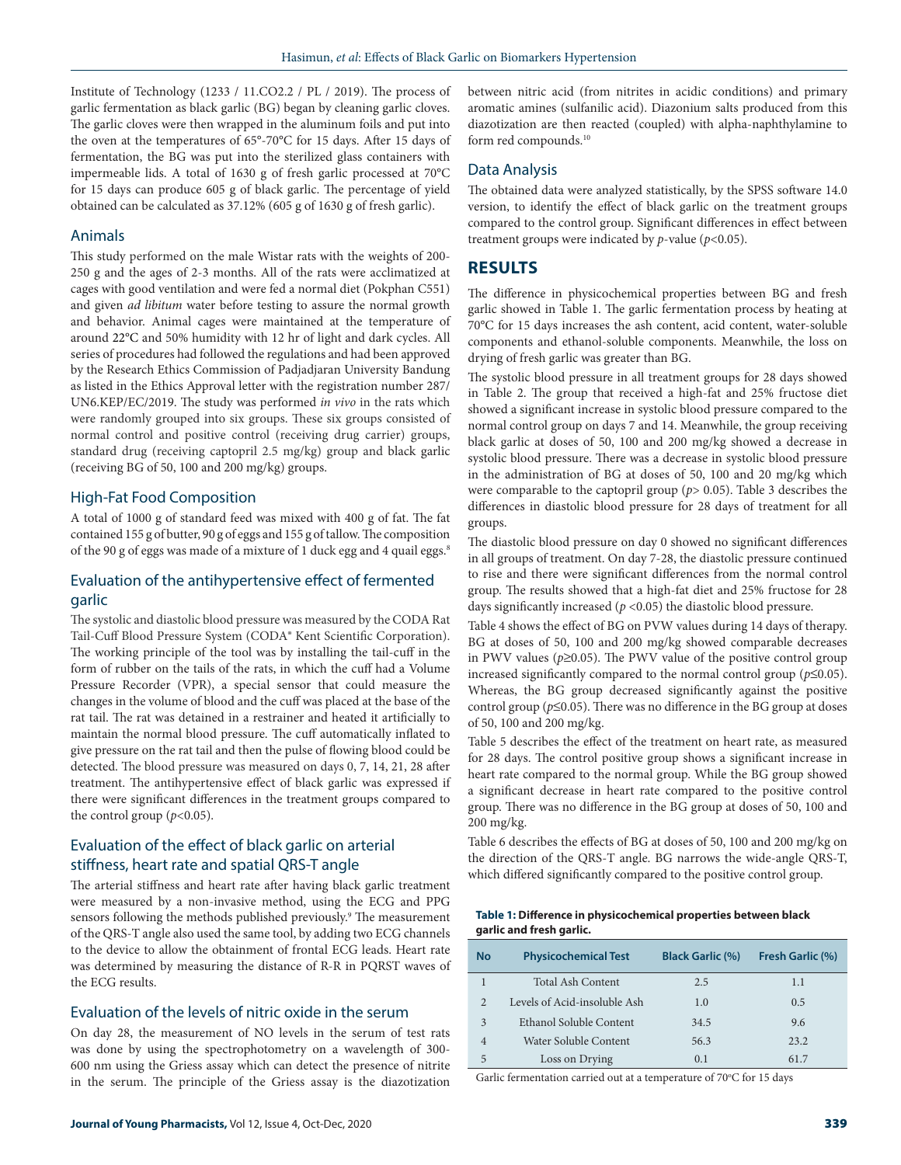Institute of Technology (1233 / 11.CO2.2 / PL / 2019). The process of garlic fermentation as black garlic (BG) began by cleaning garlic cloves. The garlic cloves were then wrapped in the aluminum foils and put into the oven at the temperatures of 65°-70°C for 15 days. After 15 days of fermentation, the BG was put into the sterilized glass containers with impermeable lids. A total of 1630 g of fresh garlic processed at 70°C for 15 days can produce 605 g of black garlic. The percentage of yield obtained can be calculated as 37.12% (605 g of 1630 g of fresh garlic).

#### Animals

This study performed on the male Wistar rats with the weights of 200- 250 g and the ages of 2-3 months. All of the rats were acclimatized at cages with good ventilation and were fed a normal diet (Pokphan C551) and given *ad libitum* water before testing to assure the normal growth and behavior. Animal cages were maintained at the temperature of around 22°C and 50% humidity with 12 hr of light and dark cycles. All series of procedures had followed the regulations and had been approved by the Research Ethics Commission of Padjadjaran University Bandung as listed in the Ethics Approval letter with the registration number 287/ UN6.KEP/EC/2019. The study was performed *in vivo* in the rats which were randomly grouped into six groups. These six groups consisted of normal control and positive control (receiving drug carrier) groups, standard drug (receiving captopril 2.5 mg/kg) group and black garlic (receiving BG of 50, 100 and 200 mg/kg) groups.

### High-Fat Food Composition

A total of 1000 g of standard feed was mixed with 400 g of fat. The fat contained 155 g of butter, 90 g of eggs and 155 g of tallow. The composition of the 90 g of eggs was made of a mixture of 1 duck egg and 4 quail eggs.<sup>8</sup>

## Evaluation of the antihypertensive effect of fermented garlic

The systolic and diastolic blood pressure was measured by the CODA Rat Tail-Cuff Blood Pressure System (CODA® Kent Scientific Corporation). The working principle of the tool was by installing the tail-cuff in the form of rubber on the tails of the rats, in which the cuff had a Volume Pressure Recorder (VPR), a special sensor that could measure the changes in the volume of blood and the cuff was placed at the base of the rat tail. The rat was detained in a restrainer and heated it artificially to maintain the normal blood pressure. The cuff automatically inflated to give pressure on the rat tail and then the pulse of flowing blood could be detected. The blood pressure was measured on days 0, 7, 14, 21, 28 after treatment. The antihypertensive effect of black garlic was expressed if there were significant differences in the treatment groups compared to the control group  $(p<0.05)$ .

# Evaluation of the effect of black garlic on arterial stiffness, heart rate and spatial QRS-T angle

The arterial stiffness and heart rate after having black garlic treatment were measured by a non-invasive method, using the ECG and PPG sensors following the methods published previously.<sup>9</sup> The measurement of the QRS-T angle also used the same tool, by adding two ECG channels to the device to allow the obtainment of frontal ECG leads. Heart rate was determined by measuring the distance of R-R in PQRST waves of the ECG results.

#### Evaluation of the levels of nitric oxide in the serum

On day 28, the measurement of NO levels in the serum of test rats was done by using the spectrophotometry on a wavelength of 300- 600 nm using the Griess assay which can detect the presence of nitrite in the serum. The principle of the Griess assay is the diazotization

between nitric acid (from nitrites in acidic conditions) and primary aromatic amines (sulfanilic acid). Diazonium salts produced from this diazotization are then reacted (coupled) with alpha-naphthylamine to form red compounds.10

### Data Analysis

The obtained data were analyzed statistically, by the SPSS software 14.0 version, to identify the effect of black garlic on the treatment groups compared to the control group. Significant differences in effect between treatment groups were indicated by *p*-value (*p*<0.05).

## **RESULTS**

The difference in physicochemical properties between BG and fresh garlic showed in Table 1. The garlic fermentation process by heating at 70°C for 15 days increases the ash content, acid content, water-soluble components and ethanol-soluble components. Meanwhile, the loss on drying of fresh garlic was greater than BG.

The systolic blood pressure in all treatment groups for 28 days showed in Table 2. The group that received a high-fat and 25% fructose diet showed a significant increase in systolic blood pressure compared to the normal control group on days 7 and 14. Meanwhile, the group receiving black garlic at doses of 50, 100 and 200 mg/kg showed a decrease in systolic blood pressure. There was a decrease in systolic blood pressure in the administration of BG at doses of 50, 100 and 20 mg/kg which were comparable to the captopril group (*p*> 0.05). Table 3 describes the differences in diastolic blood pressure for 28 days of treatment for all groups.

The diastolic blood pressure on day 0 showed no significant differences in all groups of treatment. On day 7-28, the diastolic pressure continued to rise and there were significant differences from the normal control group. The results showed that a high-fat diet and 25% fructose for 28 days significantly increased ( $p$  <0.05) the diastolic blood pressure.

Table 4 shows the effect of BG on PVW values during 14 days of therapy. BG at doses of 50, 100 and 200 mg/kg showed comparable decreases in PWV values ( $p \ge 0.05$ ). The PWV value of the positive control group increased significantly compared to the normal control group (*p*≤0.05). Whereas, the BG group decreased significantly against the positive control group (*p*≤0.05). There was no difference in the BG group at doses of 50, 100 and 200 mg/kg.

Table 5 describes the effect of the treatment on heart rate, as measured for 28 days. The control positive group shows a significant increase in heart rate compared to the normal group. While the BG group showed a significant decrease in heart rate compared to the positive control group. There was no difference in the BG group at doses of 50, 100 and 200 mg/kg.

Table 6 describes the effects of BG at doses of 50, 100 and 200 mg/kg on the direction of the QRS-T angle. BG narrows the wide-angle QRS-T, which differed significantly compared to the positive control group.

| Table 1: Difference in physicochemical properties between black |  |
|-----------------------------------------------------------------|--|
| garlic and fresh garlic.                                        |  |

| <b>No</b>      | <b>Physicochemical Test</b>  | <b>Black Garlic (%)</b> | Fresh Garlic (%) |
|----------------|------------------------------|-------------------------|------------------|
|                | Total Ash Content            | 2.5                     | 1.1              |
| $\overline{2}$ | Levels of Acid-insoluble Ash | 1.0                     | 0.5              |
| 3              | Ethanol Soluble Content      | 34.5                    | 9.6              |
| 4              | Water Soluble Content        | 56.3                    | 23.2             |
| 5              | Loss on Drying               | 0.1                     | 61.7             |

Garlic fermentation carried out at a temperature of  $70^{\circ}$ C for 15 days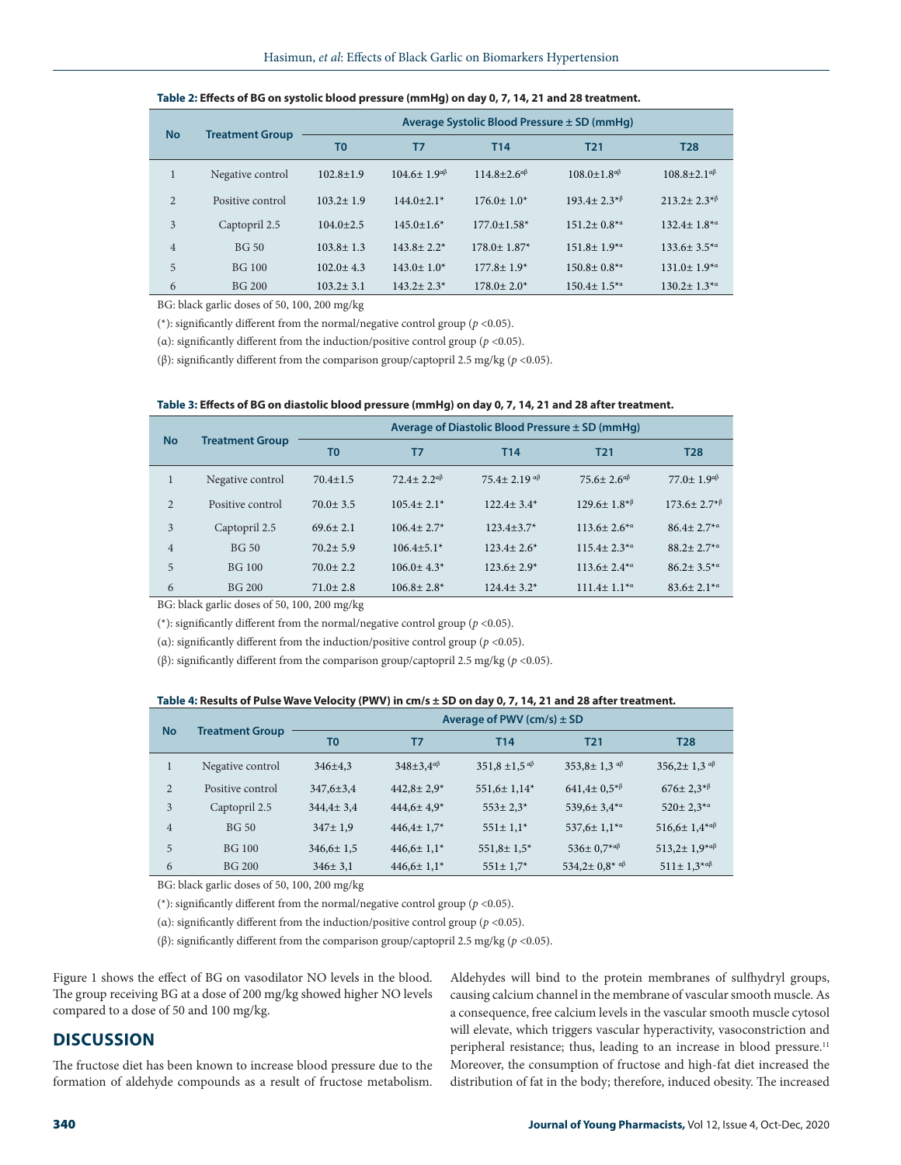| <b>No</b>      | <b>Treatment Group</b> | Average Systolic Blood Pressure ± SD (mmHg) |                               |                               |                                  |                                |
|----------------|------------------------|---------------------------------------------|-------------------------------|-------------------------------|----------------------------------|--------------------------------|
|                |                        | T <sub>0</sub>                              | T7                            | T <sub>14</sub>               | <b>T21</b>                       | <b>T28</b>                     |
|                | Negative control       | $102.8 + 1.9$                               | $104.6 \pm 1.9$ <sup>aβ</sup> | $114.8 + 2.6^{\alpha\beta}$   | $108.0 + 1.8^{\alpha\beta}$      | $108.8 + 2.1^{\alpha\beta}$    |
| $\overline{c}$ | Positive control       | $103.2 \pm 1.9$                             | $144.0+2.1*$                  | $176.0 \pm 1.0^*$             | $193.4 + 2.3^{*}$                | $213.2 + 2.3^{*}$              |
| 3              | Captopril 2.5          | $104.0 + 2.5$                               | $145.0 \pm 1.6^*$             | $177.0 \pm 1.58$ *            | $151.2 \pm 0.8$ <sup>*a</sup>    | $132.4 \pm 1.8^{*}$            |
| $\overline{4}$ | <b>BG 50</b>           | $103.8 \pm 1.3$                             | $143.8 + 2.2*$                | $178.0 \pm 1.87$ <sup>*</sup> | $151.8 \pm 1.9^{*}$ <sup>a</sup> | $133.6 + 3.5^{*}$ <sup>a</sup> |
| 5              | BG 100                 | $102.0 + 4.3$                               | $143.0 \pm 1.0^*$             | $177.8 \pm 1.9^*$             | $150.8 \pm 0.8^{*}$              | $131.0 \pm 1.9^{*}$ a          |
| 6              | BG 200                 | $103.2 + 3.1$                               | $143.2 + 2.3*$                | $178.0 \pm 2.0^*$             | $150.4 \pm 1.5^{*}$ <sup>a</sup> | $130.2 \pm 1.3^{*}$ a          |

| Table 2: Effects of BG on systolic blood pressure (mmHg) on day 0, 7, 14, 21 and 28 treatment. |  |
|------------------------------------------------------------------------------------------------|--|
|------------------------------------------------------------------------------------------------|--|

BG: black garlic doses of 50, 100, 200 mg/kg

(\*): significantly different from the normal/negative control group (*p* <0.05).

(α): significantly different from the induction/positive control group (*p* <0.05).

(β): significantly different from the comparison group/captopril 2.5 mg/kg (*p* <0.05).

|                | <b>Treatment Group</b> | Average of Diastolic Blood Pressure $\pm$ SD (mmHg) |                            |                         |                                |                               |
|----------------|------------------------|-----------------------------------------------------|----------------------------|-------------------------|--------------------------------|-------------------------------|
| <b>No</b>      |                        | T <sub>0</sub>                                      | T7                         | T <sub>14</sub>         | T <sub>21</sub>                | <b>T28</b>                    |
| $\mathbf{1}$   | Negative control       | $70.4 \pm 1.5$                                      | $72.4 + 2.2^{\alpha\beta}$ | $75.4 + 2.19$ a $\beta$ | $75.6 + 2.6^{\alpha\beta}$     | $77.0 + 1.9^{\alpha\beta}$    |
| $\overline{2}$ | Positive control       | $70.0 \pm 3.5$                                      | $105.4 \pm 2.1*$           | $122.4 + 3.4*$          | $129.6 \pm 1.8^{*}$            | $173.6 \pm 2.7$ <sup>*β</sup> |
| 3              | Captopril 2.5          | $69.6 \pm 2.1$                                      | $106.4 + 2.7*$             | $123.4 + 3.7*$          | $113.6 \pm 2.6$ <sup>*a</sup>  | $86.4 + 2.7^{*}$ a            |
| $\overline{4}$ | <b>BG 50</b>           | $70.2 + 5.9$                                        | $106.4+5.1*$               | $123.4 + 2.6*$          | $115.4 + 2.3^{*}$ <sup>a</sup> | $88.2 + 2.7^{*}$ a            |
| 5              | BG 100                 | $70.0 + 2.2$                                        | $106.0 + 4.3*$             | $123.6 \pm 2.9^*$       | $113.6 \pm 2.4$ <sup>*a</sup>  | $86.2 + 3.5^{*}$ <sup>a</sup> |
| 6              | <b>BG 200</b>          | $71.0 \pm 2.8$                                      | $106.8 + 2.8*$             | $124.4 + 3.2*$          | $111.4 \pm 1.1^{*a}$           | $83.6 + 2.1^{*}$              |

BG: black garlic doses of 50, 100, 200 mg/kg

(\*): significantly different from the normal/negative control group ( $p$  <0.05).

(α): significantly different from the induction/positive control group (*p* <0.05).

(β): significantly different from the comparison group/captopril 2.5 mg/kg (*p* <0.05).

#### **Table 4: Results of Pulse Wave Velocity (PWV) in cm/s ± SD on day 0, 7, 14, 21 and 28 after treatment.**

| <b>No</b>      | <b>Treatment Group</b> | Average of PWV $(cm/s) \pm SD$ |                           |                               |                                                              |                                  |
|----------------|------------------------|--------------------------------|---------------------------|-------------------------------|--------------------------------------------------------------|----------------------------------|
|                |                        | T <sub>0</sub>                 | T7                        | <b>T14</b>                    | T <sub>21</sub>                                              | <b>T28</b>                       |
| $\mathbf{1}$   | Negative control       | $346 \pm 4.3$                  | $348\pm3.4^{\alpha\beta}$ | $351,8 \pm 1,5$ <sup>aβ</sup> | 353,8 $\pm$ 1.3 $\alpha$ $\beta$                             | $356,2 \pm 1,3$ as               |
| $\overline{2}$ | Positive control       | $347.6 \pm 3.4$                | $442.8 \pm 2.9^*$         | $551,6 \pm 1,14^*$            | $641.4 \pm 0.5^{*}$                                          | $676 \pm 2.3^{*}$                |
| 3              | Captopril 2.5          | $344.4 \pm 3.4$                | $444,6 \pm 4,9^*$         | $553 \pm 2.3$ *               | 539,6 $\pm$ 3,4 $*$ <sup><math>\alpha</math></sup>           | $520 \pm 2.3^{*}$ <sup>a</sup>   |
| $\overline{4}$ | <b>BG 50</b>           | $347 \pm 1.9$                  | $446.4 \pm 1.7$ *         | $551 \pm 1.1*$                | $537,6 \pm 1,1^{* \alpha}$                                   | $516,6 \pm 1,4^{* \alpha \beta}$ |
| 5              | <b>BG</b> 100          | $346,6 \pm 1,5$                | $446,6 \pm 1,1^*$         | $551,8 \pm 1,5^*$             | $536 \pm 0.7$ *a $\beta$                                     | $513,2 \pm 1,9^{* \alpha \beta}$ |
| 6              | <b>BG 200</b>          | $346 \pm 3.1$                  | $446,6 \pm 1,1^*$         | $551 \pm 1.7$ *               | 534,2 $\pm$ 0,8 <sup>*</sup> a <sup><math>\beta</math></sup> | $511 \pm 1.3^{* \alpha \beta}$   |

BG: black garlic doses of 50, 100, 200 mg/kg

(\*): significantly different from the normal/negative control group (*p* <0.05).

(α): significantly different from the induction/positive control group (*p* <0.05).

(β): significantly different from the comparison group/captopril 2.5 mg/kg (*p* <0.05).

Figure 1 shows the effect of BG on vasodilator NO levels in the blood. The group receiving BG at a dose of 200 mg/kg showed higher NO levels compared to a dose of 50 and 100 mg/kg.

## **DISCUSSION**

The fructose diet has been known to increase blood pressure due to the formation of aldehyde compounds as a result of fructose metabolism. Aldehydes will bind to the protein membranes of sulfhydryl groups, causing calcium channel in the membrane of vascular smooth muscle. As a consequence, free calcium levels in the vascular smooth muscle cytosol will elevate, which triggers vascular hyperactivity, vasoconstriction and peripheral resistance; thus, leading to an increase in blood pressure.<sup>11</sup> Moreover, the consumption of fructose and high-fat diet increased the distribution of fat in the body; therefore, induced obesity. The increased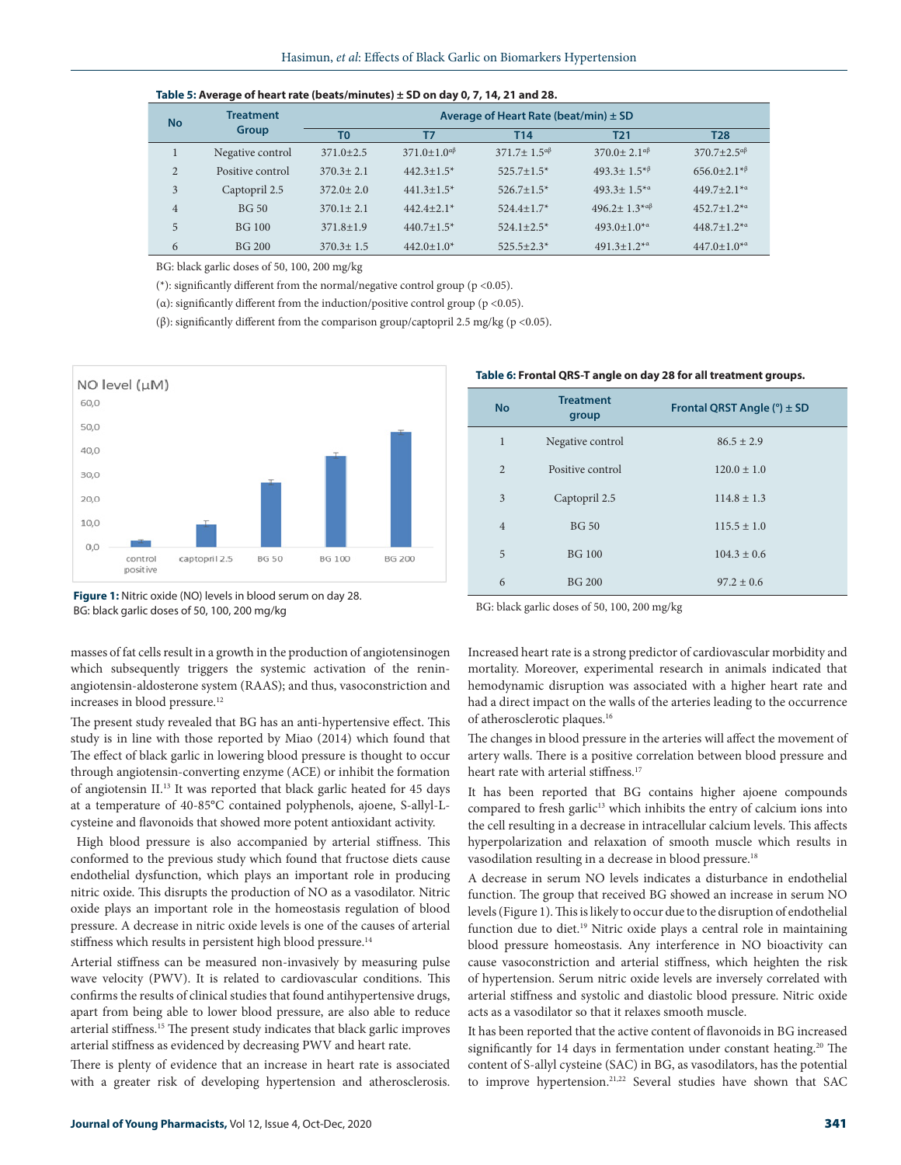| Table 5: Average of heart rate (beats/minutes) $\pm$ SD on day 0, 7, 14, 21 and 28. |                           |                                           |                               |                             |                                  |                                            |
|-------------------------------------------------------------------------------------|---------------------------|-------------------------------------------|-------------------------------|-----------------------------|----------------------------------|--------------------------------------------|
| <b>No</b>                                                                           | <b>Treatment</b><br>Group | Average of Heart Rate (beat/min) $\pm$ SD |                               |                             |                                  |                                            |
|                                                                                     |                           | T <sub>0</sub>                            | T7                            | T <sub>14</sub>             | <b>T21</b>                       | <b>T28</b>                                 |
|                                                                                     | Negative control          | $371.0 + 2.5$                             | $371.0 \pm 1.0$ <sup>aβ</sup> | $371.7 + 1.5^{\alpha\beta}$ | $370.0 + 2.1$ <sup>aβ</sup>      | $370.7 + 2.5$ <sup>aβ</sup>                |
| 2                                                                                   | Positive control          | $370.3 + 2.1$                             | $442.3 \pm 1.5$ <sup>*</sup>  | $525.7 + 1.5*$              | $493.3 \pm 1.5^{*}$              | $656.0+2.1*$ <sup><math>\beta</math></sup> |
| 3                                                                                   | Captopril 2.5             | $372.0 + 2.0$                             | $441.3 \pm 1.5^*$             | $526.7 \pm 1.5^*$           | $493.3 \pm 1.5^{*}$ <sup>a</sup> | $449.7+2.1**$                              |
| $\overline{4}$                                                                      | <b>BG 50</b>              | $370.1 \pm 2.1$                           | $442.4+2.1*$                  | $524.4 + 1.7*$              | $496.2 + 1.3^{* \alpha \beta}$   | $452.7 + 1.2^{*}$ a                        |
| 5                                                                                   | BG 100                    | $371.8 + 1.9$                             | $440.7 \pm 1.5$ <sup>*</sup>  | $524.1 + 2.5*$              | $493.0 \pm 1.0^{*}$ a            | $448.7 + 1.2^{*}$                          |
| 6                                                                                   | BG 200                    | $370.3 + 1.5$                             | $442.0 \pm 1.0^*$             | $525.5+2.3*$                | $491.3 \pm 1.2$ <sup>*a</sup>    | $447.0 \pm 1.0^{*}$                        |

BG: black garlic doses of 50, 100, 200 mg/kg

(\*): significantly different from the normal/negative control group (p <0.05).

( $\alpha$ ): significantly different from the induction/positive control group ( $p$  <0.05).

(β): significantly different from the comparison group/captopril 2.5 mg/kg (p <0.05).



#### **Table 6: Frontal QRS-T angle on day 28 for all treatment groups.**

| <b>No</b>      | <b>Treatment</b><br>group | Frontal QRST Angle $(°)$ ± SD |
|----------------|---------------------------|-------------------------------|
| $\mathbf{1}$   | Negative control          | $86.5 \pm 2.9$                |
| $\overline{2}$ | Positive control          | $120.0 \pm 1.0$               |
| 3              | Captopril 2.5             | $114.8 \pm 1.3$               |
| $\overline{4}$ | <b>BG 50</b>              | $115.5 \pm 1.0$               |
| 5              | <b>BG</b> 100             | $104.3 \pm 0.6$               |
| 6              | <b>BG 200</b>             | $97.2 + 0.6$                  |

masses of fat cells result in a growth in the production of angiotensinogen which subsequently triggers the systemic activation of the reninangiotensin-aldosterone system (RAAS); and thus, vasoconstriction and increases in blood pressure.<sup>12</sup>

The present study revealed that BG has an anti-hypertensive effect. This study is in line with those reported by Miao (2014) which found that The effect of black garlic in lowering blood pressure is thought to occur through angiotensin-converting enzyme (ACE) or inhibit the formation of angiotensin II.13 It was reported that black garlic heated for 45 days at a temperature of 40-85°C contained polyphenols, ajoene, S-allyl-Lcysteine and flavonoids that showed more potent antioxidant activity.

 High blood pressure is also accompanied by arterial stiffness. This conformed to the previous study which found that fructose diets cause endothelial dysfunction, which plays an important role in producing nitric oxide. This disrupts the production of NO as a vasodilator. Nitric oxide plays an important role in the homeostasis regulation of blood pressure. A decrease in nitric oxide levels is one of the causes of arterial stiffness which results in persistent high blood pressure.<sup>14</sup>

Arterial stiffness can be measured non-invasively by measuring pulse wave velocity (PWV). It is related to cardiovascular conditions. This confirms the results of clinical studies that found antihypertensive drugs, apart from being able to lower blood pressure, are also able to reduce arterial stiffness.15 The present study indicates that black garlic improves arterial stiffness as evidenced by decreasing PWV and heart rate.

There is plenty of evidence that an increase in heart rate is associated with a greater risk of developing hypertension and atherosclerosis. BG: black garlic doses of 50, 100, 200 mg/kg

Increased heart rate is a strong predictor of cardiovascular morbidity and mortality. Moreover, experimental research in animals indicated that hemodynamic disruption was associated with a higher heart rate and had a direct impact on the walls of the arteries leading to the occurrence of atherosclerotic plaques.16

The changes in blood pressure in the arteries will affect the movement of artery walls. There is a positive correlation between blood pressure and heart rate with arterial stiffness.<sup>17</sup>

It has been reported that BG contains higher ajoene compounds compared to fresh garlic<sup>13</sup> which inhibits the entry of calcium ions into the cell resulting in a decrease in intracellular calcium levels. This affects hyperpolarization and relaxation of smooth muscle which results in vasodilation resulting in a decrease in blood pressure.<sup>18</sup>

A decrease in serum NO levels indicates a disturbance in endothelial function. The group that received BG showed an increase in serum NO levels (Figure 1). This is likely to occur due to the disruption of endothelial function due to diet.<sup>19</sup> Nitric oxide plays a central role in maintaining blood pressure homeostasis. Any interference in NO bioactivity can cause vasoconstriction and arterial stiffness, which heighten the risk of hypertension. Serum nitric oxide levels are inversely correlated with arterial stiffness and systolic and diastolic blood pressure. Nitric oxide acts as a vasodilator so that it relaxes smooth muscle.

It has been reported that the active content of flavonoids in BG increased significantly for 14 days in fermentation under constant heating.<sup>20</sup> The content of S-allyl cysteine (SAC) in BG, as vasodilators, has the potential to improve hypertension.<sup>21,22</sup> Several studies have shown that SAC

**Figure 1:** Nitric oxide (NO) levels in blood serum on day 28. BG: black garlic doses of 50, 100, 200 mg/kg